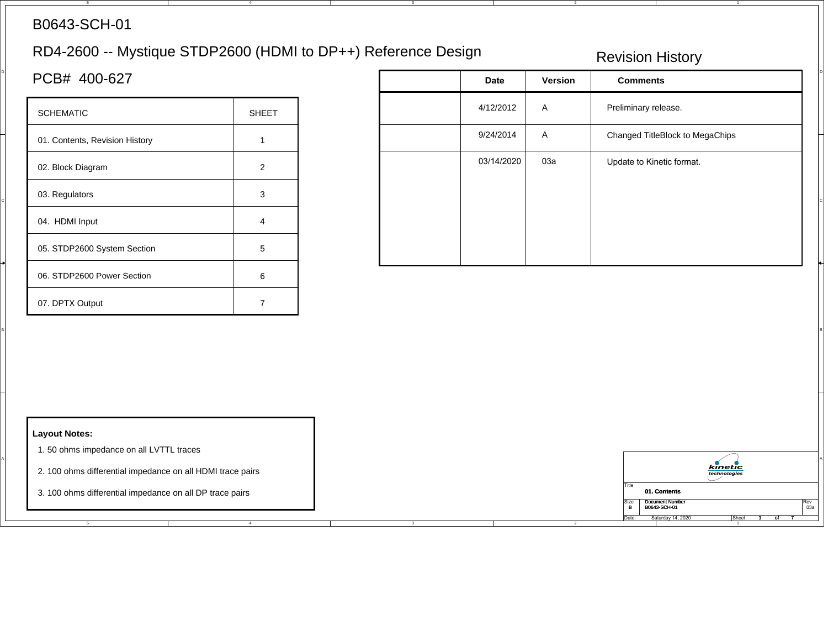## B0643-SCH-01

# RD4-2600 -- Mystique STDP2600 (HDMI to DP++) Reference Design

4

3

4

### Revision History

| <b>SCHEMATIC</b>               | <b>SHEET</b> |
|--------------------------------|--------------|
| 01. Contents, Revision History |              |
| 02. Block Diagram              | 2            |
| 03. Regulators                 | 3            |
| 04. HDMI Input                 | 4            |
| 05. STDP2600 System Section    | 5            |
| 06. STDP2600 Power Section     | 6            |
| 07. DPTX Output                |              |

| PCB# 400-627                                                    |                | <b>Date</b> | Version | <b>Comments</b>                                         |
|-----------------------------------------------------------------|----------------|-------------|---------|---------------------------------------------------------|
| <b>SCHEMATIC</b>                                                | <b>SHEET</b>   | 4/12/2012   | A       | Preliminary release.                                    |
| 01. Contents, Revision History                                  | $\overline{1}$ | 9/24/2014   | A       | Changed TitleBlock to MegaChips                         |
| 02. Block Diagram                                               | $\overline{2}$ | 03/14/2020  | 03a     | Update to Kinetic format.                               |
| 03. Regulators                                                  | 3              |             |         |                                                         |
| 04. HDMI Input                                                  | $\overline{4}$ |             |         |                                                         |
| 05. STDP2600 System Section                                     | $\,$ 5 $\,$    |             |         |                                                         |
| 06. STDP2600 Power Section                                      | $\,6\,$        |             |         |                                                         |
| 07. DPTX Output                                                 | $\overline{7}$ |             |         |                                                         |
|                                                                 |                |             |         |                                                         |
|                                                                 |                |             |         |                                                         |
|                                                                 |                |             |         |                                                         |
|                                                                 |                |             |         |                                                         |
| <b>Layout Notes:</b><br>1.50 ohms impedance on all LVTTL traces |                |             |         |                                                         |
| 2. 100 ohms differential impedance on all HDMI trace pairs      |                |             |         | <b>kinetic</b><br>technologies                          |
| 3. 100 ohms differential impedance on all DP trace pairs        |                |             |         | Title<br>01. Contents<br><b>Document Number</b><br>Size |

5

1

#### **Layout Notes:**

- 1. 50 ohms impedance on all LVTTL traces
- 2. 100 ohms differential impedance on all HDMI trace pairs
- 3. 100 ohms differential impedance on all DP trace pairs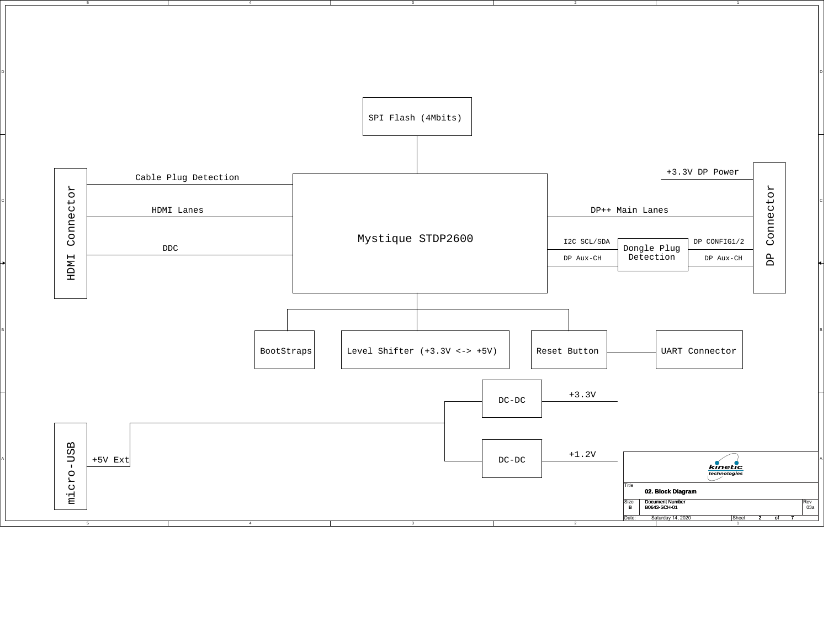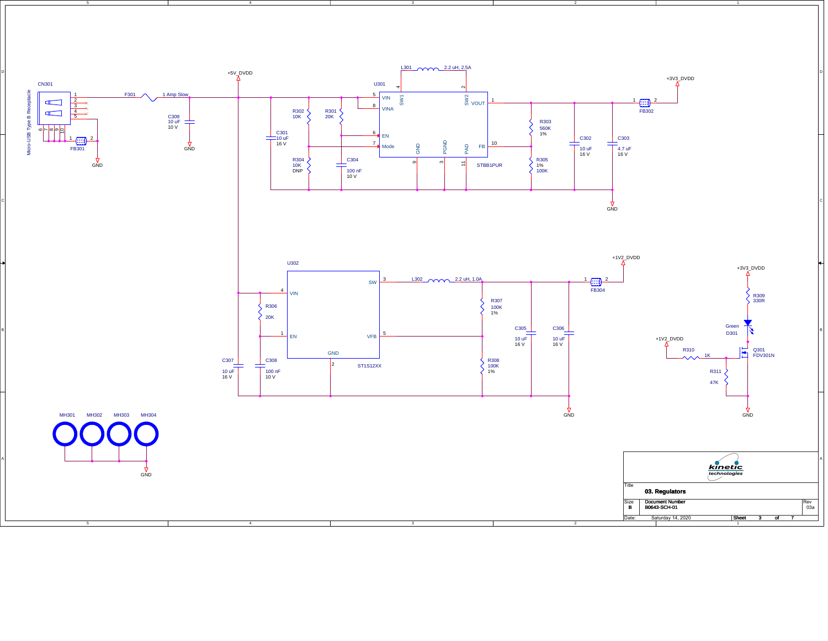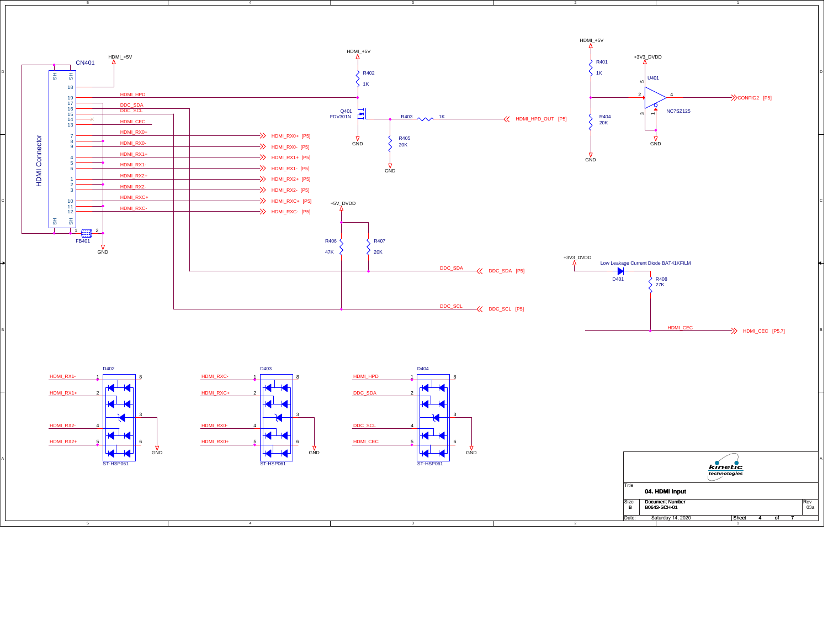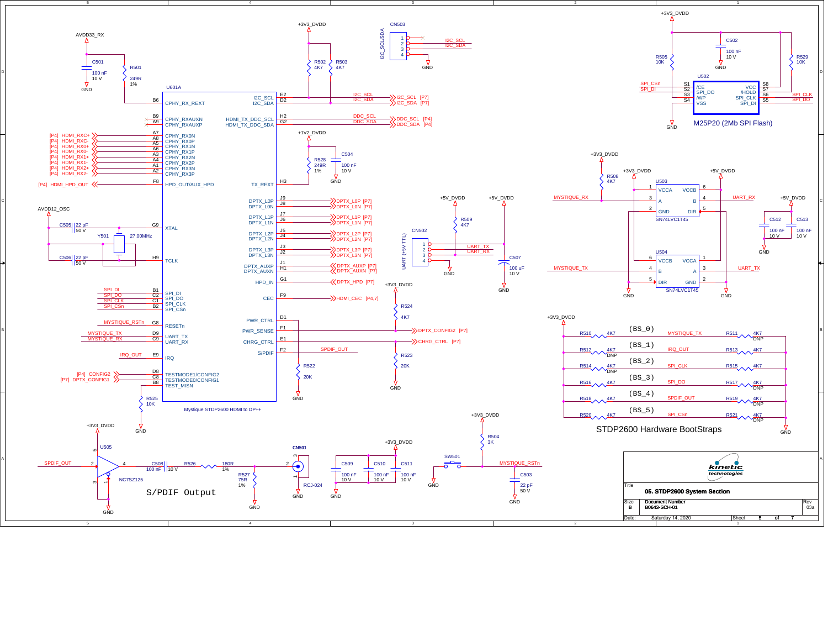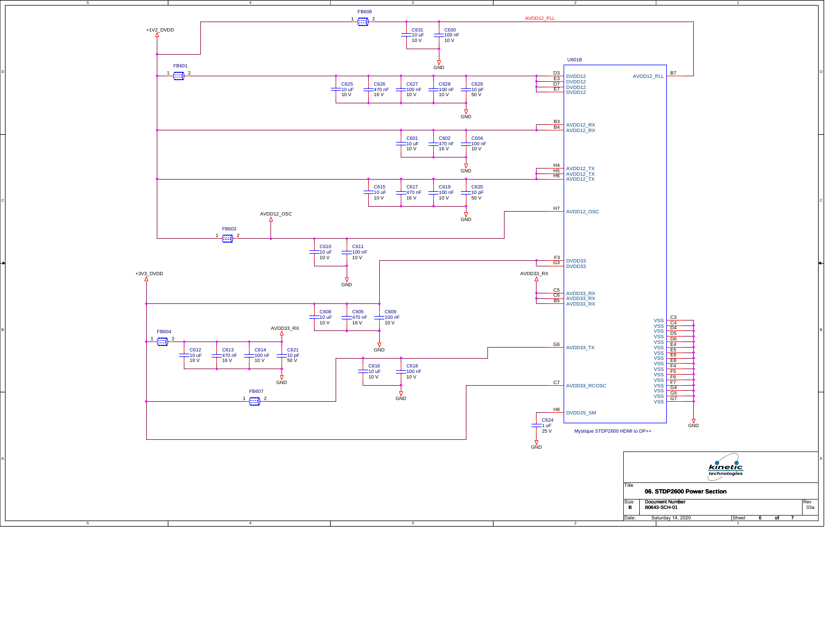

B

A